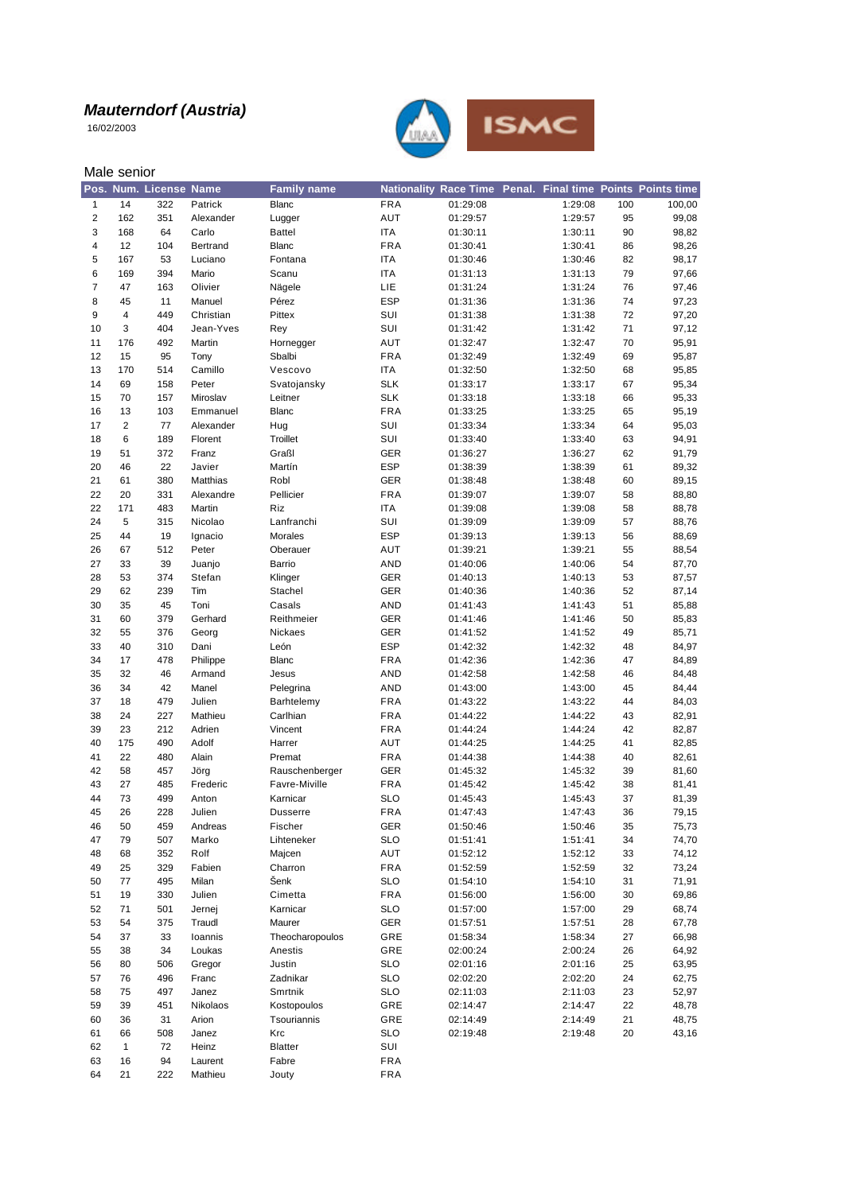16/02/2003

Male senior



#### 14 322 Patrick Blanc FRA 01:29:08 1:29:08 100 100,00 162 351 Alexander Lugger AUT 01:29:57 1:29:57 95 99,08 168 64 Carlo Battel ITA 01:30:11 1:30:11 90 98,82 12 104 Bertrand Blanc FRA 01:30:41 1:30:41 86 98,26 167 53 Luciano Fontana ITA 01:30:46 1:30:46 82 98,17 169 394 Mario Scanu ITA 01:31:13 1:31:13 79 97,66 47 163 Olivier Nägele LIE 01:31:24 1:31:24 76 97,46 45 11 Manuel Pérez ESP 01:31:36 1:31:36 74 97,23 4 449 Christian Pittex SUI 01:31:38 1:31:38 72 97,20 3 404 Jean-Yves Rey SUI 01:31:42 1:31:42 71 97,12 176 492 Martin Hornegger AUT 01:32:47 1:32:47 70 95,91 15 95 Tony Sbalbi FRA 01:32:49 1:32:49 69 95,87 170 514 Camillo Vescovo ITA 01:32:50 1:32:50 68 95,85 69 158 Peter Svatojansky SLK 01:33:17 1:33:17 67 95,34 70 157 Miroslav Leitner SLK 01:33:18 1:33:18 66 95,33 13 103 Emmanuel Blanc FRA 01:33:25 1:33:25 65 95,19 2 77 Alexander Hug SUI 01:33:34 1:33:34 64 95,03 6 189 Florent Troillet SUI 01:33:40 1:33:40 63 94,91 51 372 Franz Graßl GER 01:36:27 1:36:27 62 91,79 46 22 Javier Martín ESP 01:38:39 1:38:39 61 89,32 61 380 Matthias Robl GER 01:38:48 1:38:48 60 89,15 20 331 Alexandre Pellicier FRA 01:39:07 1:39:07 58 88,80 171 483 Martin Riz ITA 01:39:08 1:39:08 58 88,78 5 315 Nicolao Lanfranchi SUI 01:39:09 1:39:09 57 88,76 44 19 Ignacio Morales ESP 01:39:13 1:39:13 56 88,69 67 512 Peter Oberauer AUT 01:39:21 1:39:21 55 88,54 33 39 Juanjo Barrio AND 01:40:06 1:40:06 54 87,70 53 374 Stefan Klinger GER 01:40:13 1:40:13 53 87,57 62 239 Tim Stachel GER 01:40:36 1:40:36 52 87,14 35 45 Toni Casals AND 01:41:43 1:41:43 51 85,88 60 379 Gerhard Reithmeier GER 01:41:46 1:41:46 50 85,83 55 376 Georg Nickaes GER 01:41:52 1:41:52 49 85,71 40 310 Dani León ESP 01:42:32 1:42:32 48 84,97 17 478 Philippe Blanc FRA 01:42:36 1:42:36 47 84,89 32 46 Armand Jesus AND 01:42:58 1:42:58 46 84,48 34 42 Manel Pelegrina AND 01:43:00 1:43:00 45 84,44 18 479 Julien Barhtelemy FRA 01:43:22 1:43:22 44 84,03 24 227 Mathieu Carlhian FRA 01:44:22 1:44:22 43 82,91 23 212 Adrien Vincent FRA 01:44:24 1:44:24 42 82,87 175 490 Adolf Harrer AUT 01:44:25 1:44:25 41 82,85 22 480 Alain Premat FRA 01:44:38 1:44:38 40 82,61 58 457 Jörg Rauschenberger GER 01:45:32 1:45:32 39 81,60 27 485 Frederic Favre-Miville FRA 01:45:42 1:45:42 38 81,41 73 499 Anton Karnicar SLO 01:45:43 1:45:43 37 81,39 26 228 Julien Dusserre FRA 01:47:43 1:47:43 36 79,15 50 459 Andreas Fischer GER 01:50:46 1:50:46 35 75,73 79 507 Marko Lihteneker SLO 01:51:41 1:51:41 34 74,70 68 352 Rolf Majcen AUT 01:52:12 1:52:12 33 74,12 25 329 Fabien Charron FRA 01:52:59 1:52:59 32 73,24 77 495 Milan Šenk SLO 01:54:10 1:54:10 31 71,91 19 330 Julien Cimetta FRA 01:56:00 1:56:00 30 69,86 71 501 Jernej Karnicar SLO 01:57:00 1:57:00 29 68,74 54 375 Traudl Maurer GER 01:57:51 1:57:51 28 67,78 37 33 Ioannis Theocharopoulos GRE 01:58:34 1:58:34 27 66,98 38 34 Loukas Anestis GRE 02:00:24 2:00:24 26 64,92 80 506 Gregor Justin SLO 02:01:16 2:01:16 25 63,95 76 496 Franc Zadnikar SLO 02:02:20 2:02:20 24 62,75 75 497 Janez Smrtnik SLO 02:11:03 2:11:03 23 52,97

 39 451 Nikolaos Kostopoulos GRE 02:14:47 2:14:47 22 48,78 36 31 Arion Tsouriannis GRE 02:14:49 2:14:49 21 48,75 66 508 Janez Krc SLO 02:19:48 2:19:48 20 43,16

 1 72 Heinz Blatter SUI 16 94 Laurent Fabre FRA 21 222 Mathieu Jouty FRA

**Pos. Num. License Name Family name Nationality Race Time Penal. Final time Points Points time**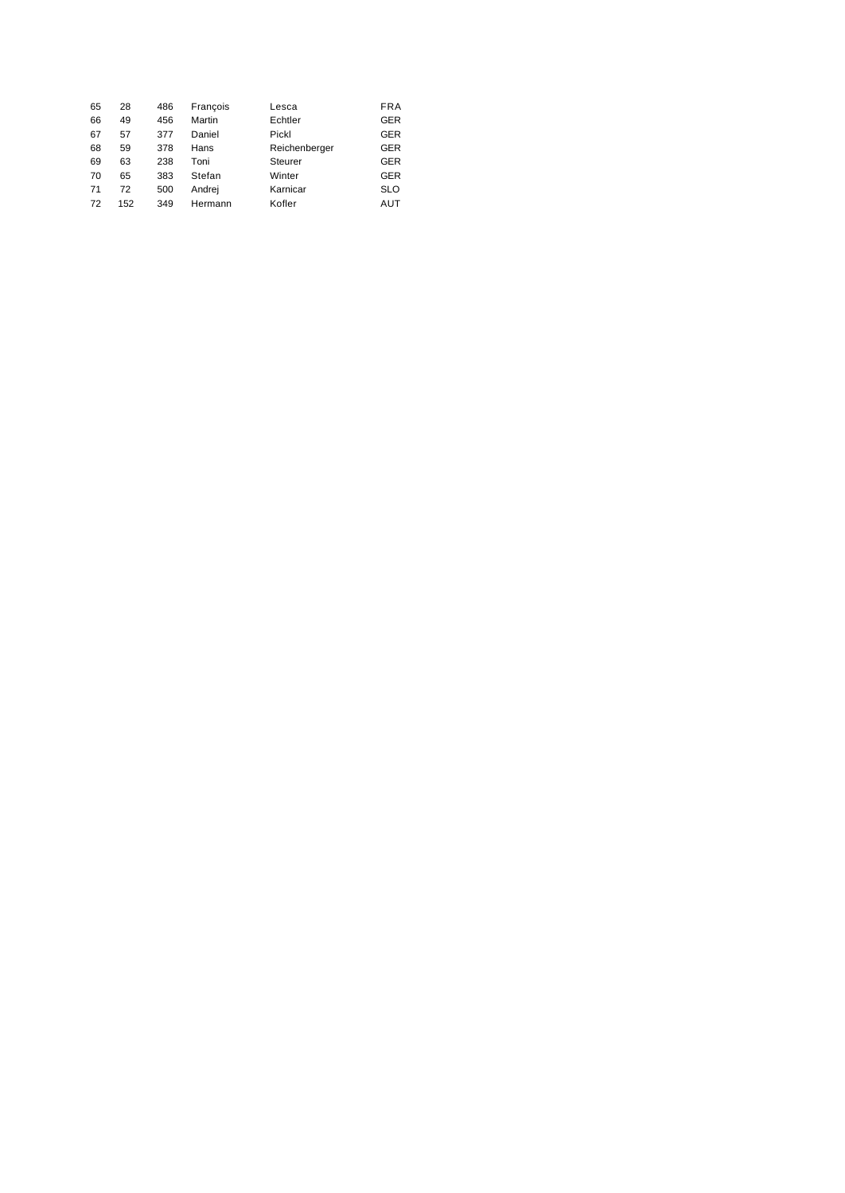| 65 | 28  | 486 | Francois | Lesca          | <b>FRA</b> |
|----|-----|-----|----------|----------------|------------|
| 66 | 49  | 456 | Martin   | Echtler        | GER        |
| 67 | 57  | 377 | Daniel   | Pickl          | GER        |
| 68 | 59  | 378 | Hans     | Reichenberger  | GER        |
| 69 | 63  | 238 | Toni     | <b>Steurer</b> | GER        |
| 70 | 65  | 383 | Stefan   | Winter         | GER        |
| 71 | 72  | 500 | Andrej   | Karnicar       | <b>SLO</b> |
| 72 | 152 | 349 | Hermann  | Kofler         | AUT        |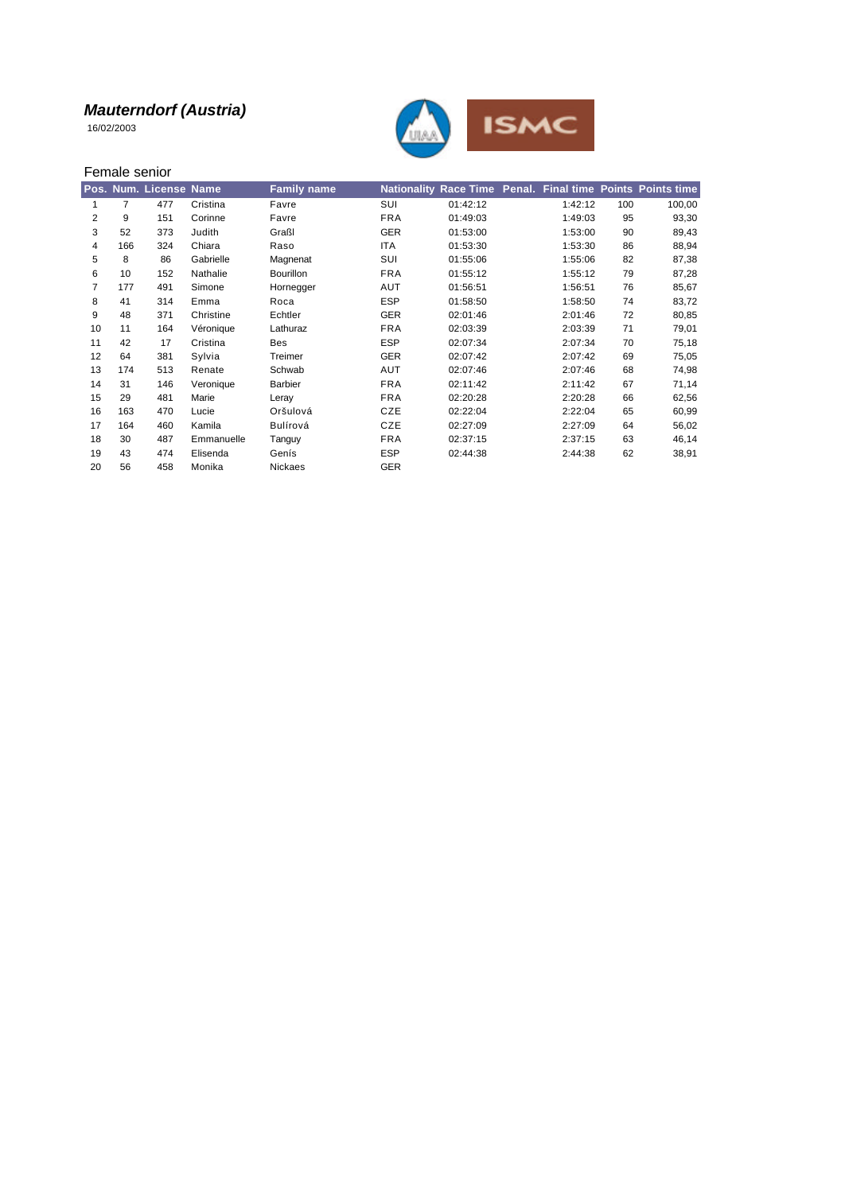16/02/2003



|    |                | Female senior          |            |                    |            |          |         |     |                                                            |
|----|----------------|------------------------|------------|--------------------|------------|----------|---------|-----|------------------------------------------------------------|
|    |                | Pos. Num. License Name |            | <b>Family name</b> |            |          |         |     | Nationality Race Time Penal. Final time Points Points time |
| 1  | $\overline{7}$ | 477                    | Cristina   | Favre              | SUI        | 01:42:12 | 1:42:12 | 100 | 100,00                                                     |
| 2  | 9              | 151                    | Corinne    | Favre              | <b>FRA</b> | 01:49:03 | 1:49:03 | 95  | 93,30                                                      |
| 3  | 52             | 373                    | Judith     | Graßl              | <b>GER</b> | 01:53:00 | 1:53:00 | 90  | 89,43                                                      |
| 4  | 166            | 324                    | Chiara     | Raso               | <b>ITA</b> | 01:53:30 | 1:53:30 | 86  | 88,94                                                      |
| 5  | 8              | 86                     | Gabrielle  | Magnenat           | SUI        | 01:55:06 | 1:55:06 | 82  | 87,38                                                      |
| 6  | 10             | 152                    | Nathalie   | <b>Bourillon</b>   | <b>FRA</b> | 01:55:12 | 1:55:12 | 79  | 87,28                                                      |
| 7  | 177            | 491                    | Simone     | Hornegger          | AUT        | 01:56:51 | 1:56:51 | 76  | 85,67                                                      |
| 8  | 41             | 314                    | Emma       | Roca               | <b>ESP</b> | 01:58:50 | 1:58:50 | 74  | 83,72                                                      |
| 9  | 48             | 371                    | Christine  | Echtler            | <b>GER</b> | 02:01:46 | 2:01:46 | 72  | 80,85                                                      |
| 10 | 11             | 164                    | Véronique  | Lathuraz           | <b>FRA</b> | 02:03:39 | 2:03:39 | 71  | 79,01                                                      |
| 11 | 42             | 17                     | Cristina   | Bes                | <b>ESP</b> | 02:07:34 | 2:07:34 | 70  | 75,18                                                      |
| 12 | 64             | 381                    | Sylvia     | Treimer            | <b>GER</b> | 02:07:42 | 2:07:42 | 69  | 75,05                                                      |
| 13 | 174            | 513                    | Renate     | Schwab             | AUT        | 02:07:46 | 2:07:46 | 68  | 74,98                                                      |
| 14 | 31             | 146                    | Veronique  | <b>Barbier</b>     | <b>FRA</b> | 02:11:42 | 2:11:42 | 67  | 71,14                                                      |
| 15 | 29             | 481                    | Marie      | Leray              | <b>FRA</b> | 02:20:28 | 2:20:28 | 66  | 62,56                                                      |
| 16 | 163            | 470                    | Lucie      | Oršulová           | <b>CZE</b> | 02:22:04 | 2:22:04 | 65  | 60,99                                                      |
| 17 | 164            | 460                    | Kamila     | Bulírová           | CZE        | 02:27:09 | 2:27:09 | 64  | 56,02                                                      |
| 18 | 30             | 487                    | Emmanuelle | Tanguy             | <b>FRA</b> | 02:37:15 | 2:37:15 | 63  | 46,14                                                      |
| 19 | 43             | 474                    | Elisenda   | Genís              | <b>ESP</b> | 02:44:38 | 2:44:38 | 62  | 38,91                                                      |
| 20 | 56             | 458                    | Monika     | Nickaes            | <b>GER</b> |          |         |     |                                                            |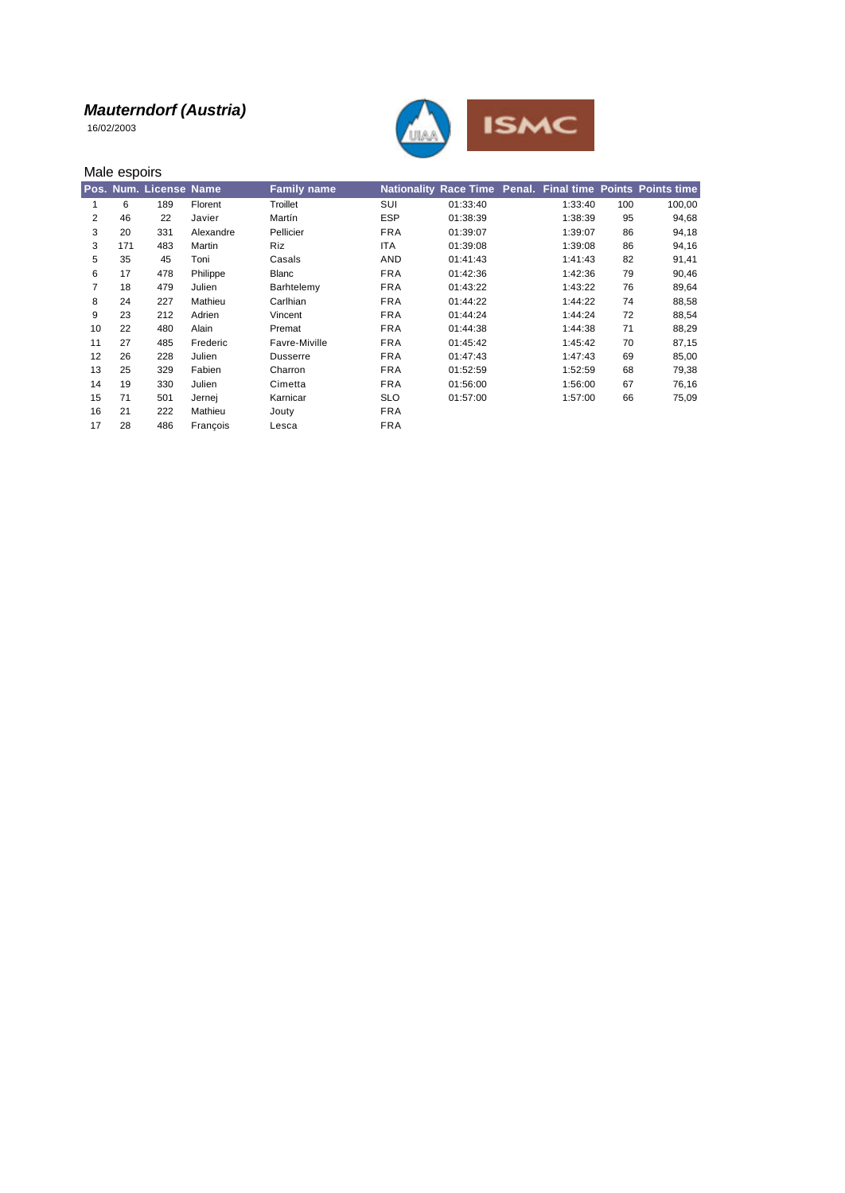16/02/2003



|    | Male espoirs |                        |           |                    |            |          |         |     |                                                            |
|----|--------------|------------------------|-----------|--------------------|------------|----------|---------|-----|------------------------------------------------------------|
|    |              | Pos. Num. License Name |           | <b>Family name</b> |            |          |         |     | Nationality Race Time Penal. Final time Points Points time |
|    | 6            | 189                    | Florent   | Troillet           | SUI        | 01:33:40 | 1:33:40 | 100 | 100,00                                                     |
| 2  | 46           | 22                     | Javier    | Martín             | <b>ESP</b> | 01:38:39 | 1:38:39 | 95  | 94,68                                                      |
| 3  | 20           | 331                    | Alexandre | Pellicier          | <b>FRA</b> | 01:39:07 | 1:39:07 | 86  | 94,18                                                      |
| 3  | 171          | 483                    | Martin    | <b>Riz</b>         | <b>ITA</b> | 01:39:08 | 1:39:08 | 86  | 94,16                                                      |
| 5  | 35           | 45                     | Toni      | Casals             | AND        | 01:41:43 | 1:41:43 | 82  | 91,41                                                      |
| 6  | 17           | 478                    | Philippe  | Blanc              | <b>FRA</b> | 01:42:36 | 1:42:36 | 79  | 90,46                                                      |
| 7  | 18           | 479                    | Julien    | Barhtelemy         | <b>FRA</b> | 01:43:22 | 1:43:22 | 76  | 89,64                                                      |
| 8  | 24           | 227                    | Mathieu   | Carlhian           | <b>FRA</b> | 01:44:22 | 1:44:22 | 74  | 88,58                                                      |
| 9  | 23           | 212                    | Adrien    | Vincent            | <b>FRA</b> | 01:44:24 | 1:44:24 | 72  | 88,54                                                      |
| 10 | 22           | 480                    | Alain     | Premat             | <b>FRA</b> | 01:44:38 | 1:44:38 | 71  | 88,29                                                      |
| 11 | 27           | 485                    | Frederic  | Favre-Miville      | <b>FRA</b> | 01:45:42 | 1:45:42 | 70  | 87,15                                                      |
| 12 | 26           | 228                    | Julien    | <b>Dusserre</b>    | <b>FRA</b> | 01:47:43 | 1:47:43 | 69  | 85,00                                                      |
| 13 | 25           | 329                    | Fabien    | Charron            | <b>FRA</b> | 01:52:59 | 1:52:59 | 68  | 79,38                                                      |
| 14 | 19           | 330                    | Julien    | Cimetta            | <b>FRA</b> | 01:56:00 | 1:56:00 | 67  | 76,16                                                      |
| 15 | 71           | 501                    | Jernej    | Karnicar           | <b>SLO</b> | 01:57:00 | 1:57:00 | 66  | 75,09                                                      |
| 16 | 21           | 222                    | Mathieu   | Jouty              | <b>FRA</b> |          |         |     |                                                            |
| 17 | 28           | 486                    | Francois  | Lesca              | <b>FRA</b> |          |         |     |                                                            |